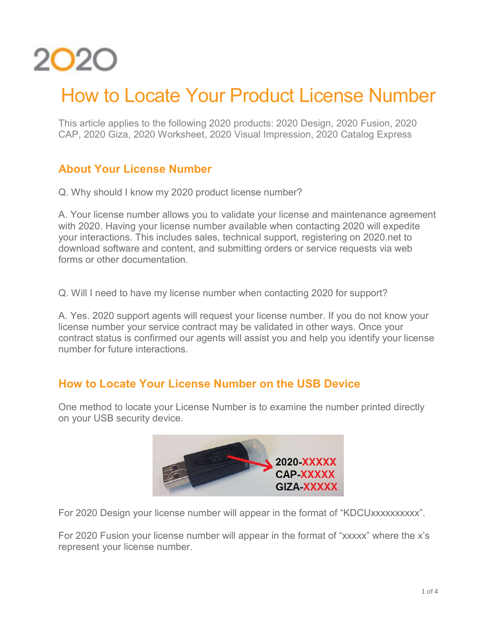

# How to Locate Your Product License Number

This article applies to the following 2020 products: 2020 Design, 2020 Fusion, 2020 CAP, 2020 Giza, 2020 Worksheet, 2020 Visual Impression, 2020 Catalog Express

### About Your License Number

Q. Why should I know my 2020 product license number?

A. Your license number allows you to validate your license and maintenance agreement with 2020. Having your license number available when contacting 2020 will expedite your interactions. This includes sales, technical support, registering on 2020.net to download software and content, and submitting orders or service requests via web forms or other documentation.

Q. Will I need to have my license number when contacting 2020 for support?

A. Yes. 2020 support agents will request your license number. If you do not know your license number your service contract may be validated in other ways. Once your contract status is confirmed our agents will assist you and help you identify your license number for future interactions.

#### How to Locate Your License Number on the USB Device

One method to locate your License Number is to examine the number printed directly on your USB security device.



For 2020 Design your license number will appear in the format of "KDCUxxxxxxxxxx".

For 2020 Fusion your license number will appear in the format of "xxxxx" where the x's represent your license number.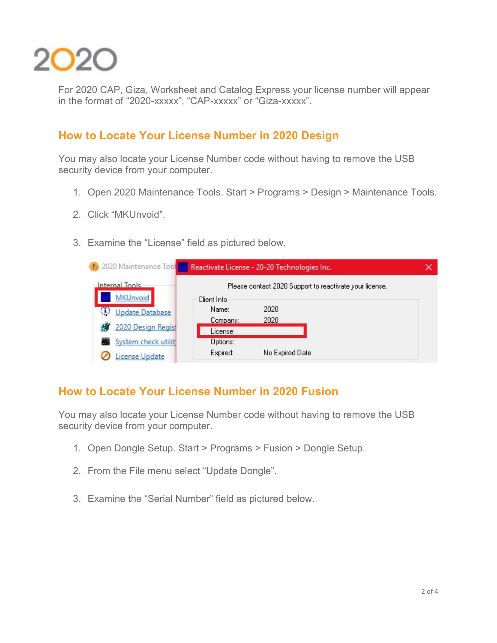

For 2020 CAP, Giza, Worksheet and Catalog Express your license number will appear in the format of "2020-xxxxx", "CAP-xxxxx" or "Giza-xxxxx".

#### How to Locate Your License Number in 2020 Design

You may also locate your License Number code without having to remove the USB security device from your computer.

- 1. Open 2020 Maintenance Tools. Start > Programs > Design > Maintenance Tools.
- 2. Click "MKUnvoid".
- 3. Examine the "License" field as pictured below.

| 19 2020 Maintenance Tool Reactivate License - 20-20 Technologies Inc. |                      |                                                         |  |
|-----------------------------------------------------------------------|----------------------|---------------------------------------------------------|--|
| Internal Tools<br><b>MKUnvoid</b>                                     | Client Info          | Please contact 2020 Support to reactivate your license. |  |
| (i)<br><b>Update Database</b>                                         | Name:<br>Company:    | 2020<br>2020                                            |  |
| 2020 Design Regist                                                    | License:             |                                                         |  |
| System check utilit                                                   | Options:<br>Expired: | No Expired Date                                         |  |
| License Update                                                        |                      |                                                         |  |

#### How to Locate Your License Number in 2020 Fusion

You may also locate your License Number code without having to remove the USB security device from your computer.

- 1. Open Dongle Setup. Start > Programs > Fusion > Dongle Setup.
- 2. From the File menu select "Update Dongle".
- 3. Examine the "Serial Number" field as pictured below.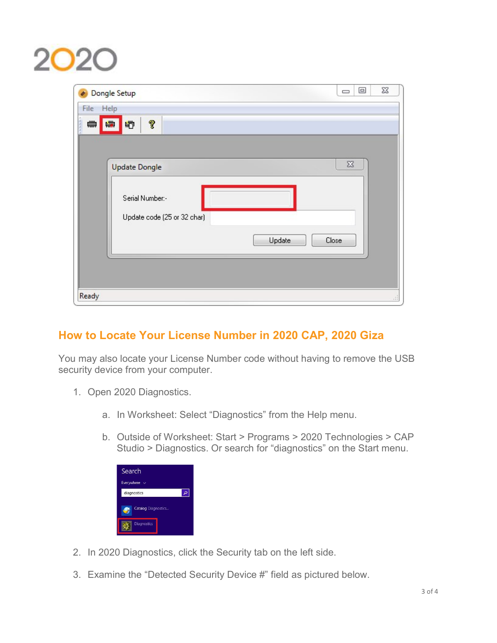# $2O2$

| Dongle Setup                                   | $\Sigma\!3$<br>$\Box$<br>$\qquad \qquad \qquad \Box$ |
|------------------------------------------------|------------------------------------------------------|
| Help<br>File                                   |                                                      |
| ĵ<br>ß,<br>₩<br>[#<br>嘞                        |                                                      |
|                                                |                                                      |
| <b>Update Dongle</b>                           | $\Sigma\!$                                           |
| Serial Number:-<br>Update code (25 or 32 char) |                                                      |
|                                                | Update<br>Close                                      |
|                                                |                                                      |
| Ready                                          | аĤ                                                   |

## How to Locate Your License Number in 2020 CAP, 2020 Giza

You may also locate your License Number code without having to remove the USB security device from your computer.

- 1. Open 2020 Diagnostics.
	- a. In Worksheet: Select "Diagnostics" from the Help menu.
	- b. Outside of Worksheet: Start > Programs > 2020 Technologies > CAP Studio > Diagnostics. Or search for "diagnostics" on the Start menu.

| Search                             |  |
|------------------------------------|--|
| Everywhere<br>$\ddot{\phantom{1}}$ |  |
| diagnostics                        |  |
| Catalog Diagnostics                |  |
| <b>Diagnostics</b>                 |  |

- 2. In 2020 Diagnostics, click the Security tab on the left side.
- 3. Examine the "Detected Security Device #" field as pictured below.